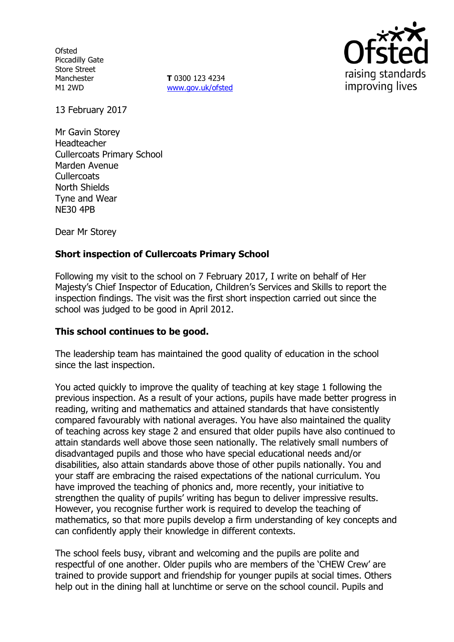**Ofsted** Piccadilly Gate Store Street Manchester M1 2WD

**T** 0300 123 4234 www.gov.uk/ofsted



13 February 2017

Mr Gavin Storey Headteacher Cullercoats Primary School Marden Avenue **Cullercoats** North Shields Tyne and Wear NE30 4PB

Dear Mr Storey

## **Short inspection of Cullercoats Primary School**

Following my visit to the school on 7 February 2017, I write on behalf of Her Majesty's Chief Inspector of Education, Children's Services and Skills to report the inspection findings. The visit was the first short inspection carried out since the school was judged to be good in April 2012.

## **This school continues to be good.**

The leadership team has maintained the good quality of education in the school since the last inspection.

You acted quickly to improve the quality of teaching at key stage 1 following the previous inspection. As a result of your actions, pupils have made better progress in reading, writing and mathematics and attained standards that have consistently compared favourably with national averages. You have also maintained the quality of teaching across key stage 2 and ensured that older pupils have also continued to attain standards well above those seen nationally. The relatively small numbers of disadvantaged pupils and those who have special educational needs and/or disabilities, also attain standards above those of other pupils nationally. You and your staff are embracing the raised expectations of the national curriculum. You have improved the teaching of phonics and, more recently, your initiative to strengthen the quality of pupils' writing has begun to deliver impressive results. However, you recognise further work is required to develop the teaching of mathematics, so that more pupils develop a firm understanding of key concepts and can confidently apply their knowledge in different contexts.

The school feels busy, vibrant and welcoming and the pupils are polite and respectful of one another. Older pupils who are members of the 'CHEW Crew' are trained to provide support and friendship for younger pupils at social times. Others help out in the dining hall at lunchtime or serve on the school council. Pupils and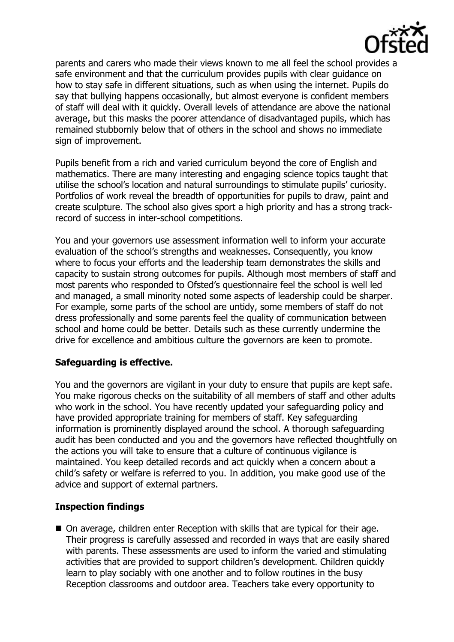

parents and carers who made their views known to me all feel the school provides a safe environment and that the curriculum provides pupils with clear guidance on how to stay safe in different situations, such as when using the internet. Pupils do say that bullying happens occasionally, but almost everyone is confident members of staff will deal with it quickly. Overall levels of attendance are above the national average, but this masks the poorer attendance of disadvantaged pupils, which has remained stubbornly below that of others in the school and shows no immediate sign of improvement.

Pupils benefit from a rich and varied curriculum beyond the core of English and mathematics. There are many interesting and engaging science topics taught that utilise the school's location and natural surroundings to stimulate pupils' curiosity. Portfolios of work reveal the breadth of opportunities for pupils to draw, paint and create sculpture. The school also gives sport a high priority and has a strong trackrecord of success in inter-school competitions.

You and your governors use assessment information well to inform your accurate evaluation of the school's strengths and weaknesses. Consequently, you know where to focus your efforts and the leadership team demonstrates the skills and capacity to sustain strong outcomes for pupils. Although most members of staff and most parents who responded to Ofsted's questionnaire feel the school is well led and managed, a small minority noted some aspects of leadership could be sharper. For example, some parts of the school are untidy, some members of staff do not dress professionally and some parents feel the quality of communication between school and home could be better. Details such as these currently undermine the drive for excellence and ambitious culture the governors are keen to promote.

## **Safeguarding is effective.**

You and the governors are vigilant in your duty to ensure that pupils are kept safe. You make rigorous checks on the suitability of all members of staff and other adults who work in the school. You have recently updated your safeguarding policy and have provided appropriate training for members of staff. Key safeguarding information is prominently displayed around the school. A thorough safeguarding audit has been conducted and you and the governors have reflected thoughtfully on the actions you will take to ensure that a culture of continuous vigilance is maintained. You keep detailed records and act quickly when a concern about a child's safety or welfare is referred to you. In addition, you make good use of the advice and support of external partners.

# **Inspection findings**

■ On average, children enter Reception with skills that are typical for their age. Their progress is carefully assessed and recorded in ways that are easily shared with parents. These assessments are used to inform the varied and stimulating activities that are provided to support children's development. Children quickly learn to play sociably with one another and to follow routines in the busy Reception classrooms and outdoor area. Teachers take every opportunity to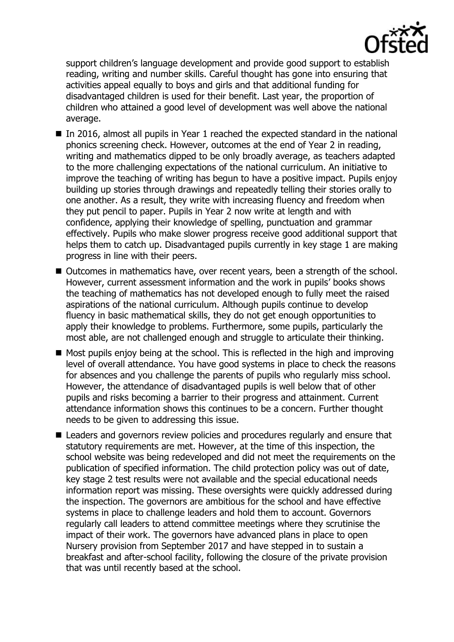

support children's language development and provide good support to establish reading, writing and number skills. Careful thought has gone into ensuring that activities appeal equally to boys and girls and that additional funding for disadvantaged children is used for their benefit. Last year, the proportion of children who attained a good level of development was well above the national average.

- In 2016, almost all pupils in Year 1 reached the expected standard in the national phonics screening check. However, outcomes at the end of Year 2 in reading, writing and mathematics dipped to be only broadly average, as teachers adapted to the more challenging expectations of the national curriculum. An initiative to improve the teaching of writing has begun to have a positive impact. Pupils enjoy building up stories through drawings and repeatedly telling their stories orally to one another. As a result, they write with increasing fluency and freedom when they put pencil to paper. Pupils in Year 2 now write at length and with confidence, applying their knowledge of spelling, punctuation and grammar effectively. Pupils who make slower progress receive good additional support that helps them to catch up. Disadvantaged pupils currently in key stage 1 are making progress in line with their peers.
- Outcomes in mathematics have, over recent years, been a strength of the school. However, current assessment information and the work in pupils' books shows the teaching of mathematics has not developed enough to fully meet the raised aspirations of the national curriculum. Although pupils continue to develop fluency in basic mathematical skills, they do not get enough opportunities to apply their knowledge to problems. Furthermore, some pupils, particularly the most able, are not challenged enough and struggle to articulate their thinking.
- $\blacksquare$  Most pupils enjoy being at the school. This is reflected in the high and improving level of overall attendance. You have good systems in place to check the reasons for absences and you challenge the parents of pupils who regularly miss school. However, the attendance of disadvantaged pupils is well below that of other pupils and risks becoming a barrier to their progress and attainment. Current attendance information shows this continues to be a concern. Further thought needs to be given to addressing this issue.
- Leaders and governors review policies and procedures regularly and ensure that statutory requirements are met. However, at the time of this inspection, the school website was being redeveloped and did not meet the requirements on the publication of specified information. The child protection policy was out of date, key stage 2 test results were not available and the special educational needs information report was missing. These oversights were quickly addressed during the inspection. The governors are ambitious for the school and have effective systems in place to challenge leaders and hold them to account. Governors regularly call leaders to attend committee meetings where they scrutinise the impact of their work. The governors have advanced plans in place to open Nursery provision from September 2017 and have stepped in to sustain a breakfast and after-school facility, following the closure of the private provision that was until recently based at the school.